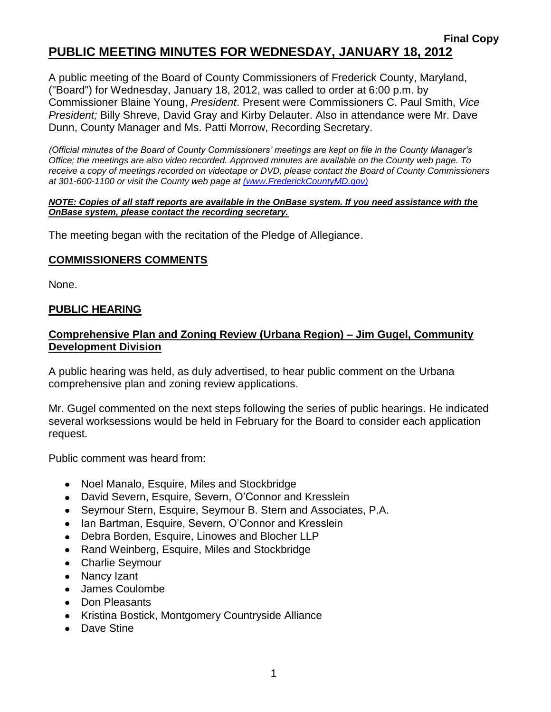### **Final Copy PUBLIC MEETING MINUTES FOR WEDNESDAY, JANUARY 18, 2012**

A public meeting of the Board of County Commissioners of Frederick County, Maryland, ("Board") for Wednesday, January 18, 2012, was called to order at 6:00 p.m. by Commissioner Blaine Young, *President*. Present were Commissioners C. Paul Smith, *Vice President;* Billy Shreve, David Gray and Kirby Delauter. Also in attendance were Mr. Dave Dunn, County Manager and Ms. Patti Morrow, Recording Secretary.

*(Official minutes of the Board of County Commissioners' meetings are kept on file in the County Manager's Office; the meetings are also video recorded. Approved minutes are available on the County web page. To receive a copy of meetings recorded on videotape or DVD, please contact the Board of County Commissioners at 301-600-1100 or visit the County web page at [\(www.FrederickCountyMD.gov\)](file://NT1S5/BOCC/BOCC/BOCC%20Minutes/Patti)*

#### *NOTE: Copies of all staff reports are available in the OnBase system. If you need assistance with the OnBase system, please contact the recording secretary.*

The meeting began with the recitation of the Pledge of Allegiance.

#### **COMMISSIONERS COMMENTS**

None.

#### **PUBLIC HEARING**

### **Comprehensive Plan and Zoning Review (Urbana Region) – Jim Gugel, Community Development Division**

A public hearing was held, as duly advertised, to hear public comment on the Urbana comprehensive plan and zoning review applications.

Mr. Gugel commented on the next steps following the series of public hearings. He indicated several worksessions would be held in February for the Board to consider each application request.

Public comment was heard from:

- Noel Manalo, Esquire, Miles and Stockbridge
- David Severn, Esquire, Severn, O'Connor and Kresslein
- Seymour Stern, Esquire, Seymour B. Stern and Associates, P.A.
- Ian Bartman, Esquire, Severn, O'Connor and Kresslein
- Debra Borden, Esquire, Linowes and Blocher LLP
- Rand Weinberg, Esquire, Miles and Stockbridge
- Charlie Seymour
- Nancy Izant
- James Coulombe
- Don Pleasants
- Kristina Bostick, Montgomery Countryside Alliance
- Dave Stine